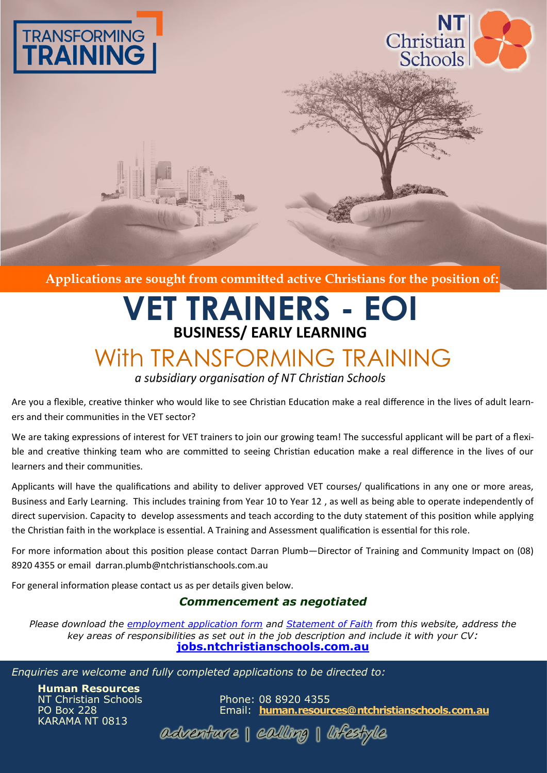



**Applications are sought from committed active Christians for the position of:** 

## **VET TRAINERS - EOI BUSINESS/ EARLY LEARNING**

## With TRANSFORMING TRAINING

a subsidiary organisation of NT Christian Schools

Are you a flexible, creative thinker who would like to see Christian Education make a real difference in the lives of adult learners and their communities in the VET sector?

We are taking expressions of interest for VET trainers to join our growing team! The successful applicant will be part of a flexible and creative thinking team who are committed to seeing Christian education make a real difference in the lives of our learners and their communities.

Applicants will have the qualifications and ability to deliver approved VET courses/ qualifications in any one or more areas, Business and Early Learning. This includes training from Year 10 to Year 12 , as well as being able to operate independently of direct supervision. Capacity to develop assessments and teach according to the duty statement of this position while applying the Christian faith in the workplace is essential. A Training and Assessment qualification is essential for this role.

For more information about this position please contact Darran Plumb—Director of Training and Community Impact on (08) 8920 4355 or email darran.plumb@ntchristianschools.com.au

For general information please contact us as per details given below.

## *Commencement as negotiated*

*Please download the [employment application form](http://jobs.ntchristianschools.com.au/employment/AppForm_nonteach.pdf) and [Statement of Faith](http://jobs.ntchristianschools.com.au/employment/What_We_Believe.pdf) from this website, address the key areas of responsibilities as set out in the job description and include it with your CV:* **<jobs.ntchristianschools.com.au>**

*Enquiries are welcome and fully completed applications to be directed to:*

**Human Resources** KARAMA NT 0813

Phone: 08 8920 4355 PO Box 228 Email: **[human.resources@ntchristianschools.com.au](mailto:human.resources@ntchristianschools.com.au)**

adventure | calling | lifestyle